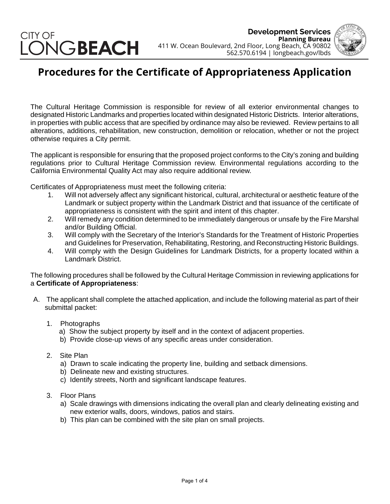## CITY OF ONGBEACH

**Development Services Planning Bureau** 411 W. Ocean Boulevard, 2nd Floor, Long Beach, CA 90802 562.570.6194 | longbeach.gov/lbds



## **Procedures for the Certificate of Appropriateness Application**

The Cultural Heritage Commission is responsible for review of all exterior environmental changes to designated Historic Landmarks and properties located within designated Historic Districts. Interior alterations, in properties with public access that are specified by ordinance may also be reviewed. Review pertains to all alterations, additions, rehabilitation, new construction, demolition or relocation, whether or not the project otherwise requires a City permit.

The applicant is responsible for ensuring that the proposed project conforms to the City's zoning and building regulations prior to Cultural Heritage Commission review. Environmental regulations according to the California Environmental Quality Act may also require additional review.

Certificates of Appropriateness must meet the following criteria:

- 1. Will not adversely affect any significant historical, cultural, architectural or aesthetic feature of the Landmark or subject property within the Landmark District and that issuance of the certificate of appropriateness is consistent with the spirit and intent of this chapter.
- 2. Will remedy any condition determined to be immediately dangerous or unsafe by the Fire Marshal and/or Building Official.
- 3. Will comply with the Secretary of the Interior's Standards for the Treatment of Historic Properties and Guidelines for Preservation, Rehabilitating, Restoring, and Reconstructing Historic Buildings.
- 4. Will comply with the Design Guidelines for Landmark Districts, for a property located within a Landmark District.

The following procedures shall be followed by the Cultural Heritage Commission in reviewing applications for a **Certificate of Appropriateness**:

- A. The applicant shall complete the attached application, and include the following material as part of their submittal packet:
	- 1. Photographs
		- a) Show the subject property by itself and in the context of adjacent properties.
		- b) Provide close-up views of any specific areas under consideration.
	- 2. Site Plan
		- a) Drawn to scale indicating the property line, building and setback dimensions.
		- b) Delineate new and existing structures.
		- c) Identify streets, North and significant landscape features.
	- 3. Floor Plans
		- a) Scale drawings with dimensions indicating the overall plan and clearly delineating existing and new exterior walls, doors, windows, patios and stairs.
		- b) This plan can be combined with the site plan on small projects.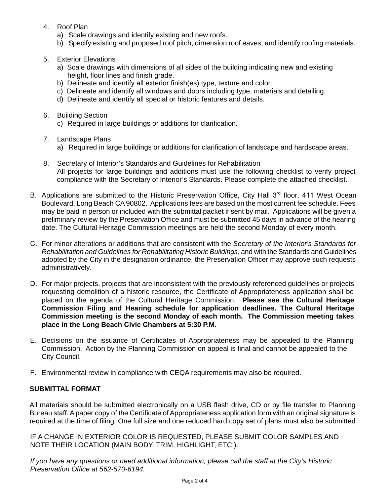- 4. Roof Plan
	- a) Scale drawings and identify existing and new roofs.
	- b) Specify existing and proposed roof pitch, dimension roof eaves, and identify roofing materials.
- 5. Exterior Elevations
	- a) Scale drawings with dimensions of all sides of the building indicating new and existing height, floor lines and finish grade.
	- b) Delineate and identify all exterior finish(es) type, texture and color.
	- c) Delineate and identify all windows and doors including type, materials and detailing.
	- d) Delineate and identify all special or historic features and details.
- 6. Building Section
	- c) Required in large buildings or additions for clarification.
- 7. Landscape Plans
	- a) Required in large buildings or additions for clarification of landscape and hardscape areas.
- 8. Secretary of Interior's Standards and Guidelines for Rehabilitation All projects for large buildings and additions must use the following checklist to verify project compliance with the Secretary of Interior's Standards. Please complete the attached checklist.
- B. Applications are submitted to the Historic Preservation Office, City Hall 3<sup>rd</sup> floor, 411 West Ocean Boulevard, Long Beach CA90802. Applications fees are based on the most current fee schedule. Fees may be paid in person or included with the submittal packet if sent by mail. Applications will be given a preliminary review by the Preservation Office and must be submitted 45 days in advance of the hearing date. The Cultural Heritage Commission meetings are held the second Monday of every month.
- C. For minor alterations or additions that are consistent with the *Secretary of the Interior's Standards for Rehabilitation and Guidelines for Rehabilitating Historic Buildings*, and with the Standards and Guidelines adopted by the City in the designation ordinance, the Preservation Officer may approve such requests administratively.
- D. For major projects, projects that are inconsistent with the previously referenced guidelines or projects requesting demolition of a historic resource, the Certificate of Appropriateness application shall be placed on the agenda of the Cultural Heritage Commission. **Please see the Cultural Heritage Commission Filing and Hearing schedule for application deadlines. The Cultural Heritage Commission meeting is the second Monday of each month. The Commission meeting takes place in the Long Beach Civic Chambers at 5:30 P.M.**
- E. Decisions on the issuance of Certificates of Appropriateness may be appealed to the Planning Commission. Action by the Planning Commission on appeal is final and cannot be appealed to the City Council.
- F. Environmental review in compliance with CEQA requirements may also be required.

## **SUBMITTAL FORMAT**

All materials should be submitted electronically on a USB flash drive, CD or by file transfer to Planning Bureau staff. A paper copy of the Certificate of Appropriateness application form with an original signature is required at the time of filing. One full size and one reduced hard copy set of plans must also be submitted

IF A CHANGE IN EXTERIOR COLOR IS REQUESTED, PLEASE SUBMIT COLOR SAMPLES AND NOTE THEIR LOCATION (MAIN BODY, TRIM, HIGHLIGHT, ETC.).

*If you have any questions or need additional information, please call the staff at the City's Historic Preservation Office at 562-570-6194.*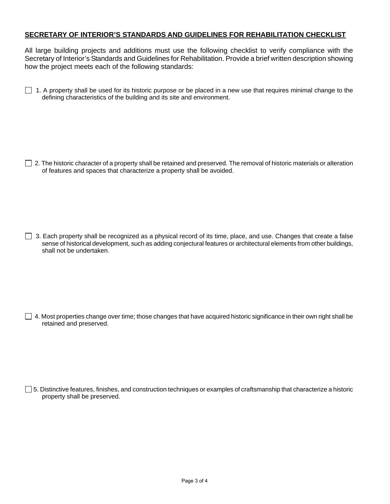## **SECRETARY OF INTERIOR'S STANDARDS AND GUIDELINES FOR REHABILITATION CHECKLIST**

All large building projects and additions must use the following checklist to verify compliance with the Secretary of Interior's Standards and Guidelines for Rehabilitation. Provide a brief written description showing how the project meets each of the following standards:

 $\Box$  1. A property shall be used for its historic purpose or be placed in a new use that requires minimal change to the defining characteristics of the building and its site and environment.

 $\Box$  2. The historic character of a property shall be retained and preserved. The removal of historic materials or alteration of features and spaces that characterize a property shall be avoided.

 $\Box$  3. Each property shall be recognized as a physical record of its time, place, and use. Changes that create a false sense of historical development, such as adding conjectural features or architectural elements from other buildings, shall not be undertaken.

 $\Box$  4. Most properties change over time; those changes that have acquired historic significance in their own right shall be retained and preserved.

 $\Box$  5. Distinctive features, finishes, and construction techniques or examples of craftsmanship that characterize a historic property shall be preserved.